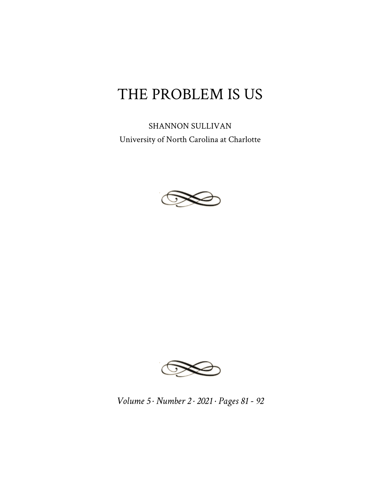## THE PROBLEM IS US

SHANNON SULLIVAN University of North Carolina at Charlotte





*Volume 5 · Number 2 · 2021 · Pages 81 - 92*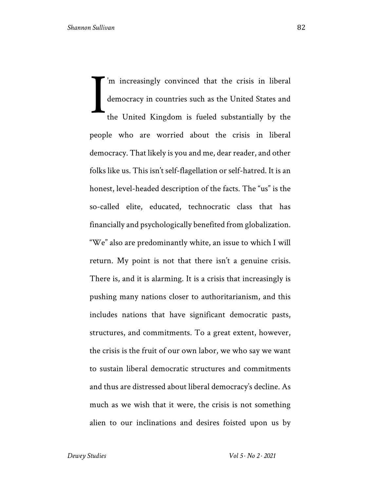'm increasingly convinced that the crisis in liberal democracy in countries such as the United States and the United Kingdom is fueled substantially by the people who are worried about the crisis in liberal democracy. That likely is you and me, dear reader, and other folks like us. This isn't self-flagellation or self-hatred. It is an honest, level-headed description of the facts. The "us" is the so-called elite, educated, technocratic class that has financially and psychologically benefited from globalization. "We" also are predominantly white, an issue to which I will return. My point is not that there isn't a genuine crisis. There is, and it is alarming. It is a crisis that increasingly is pushing many nations closer to authoritarianism, and this includes nations that have significant democratic pasts, structures, and commitments. To a great extent, however, the crisis is the fruit of our own labor, we who say we want to sustain liberal democratic structures and commitments and thus are distressed about liberal democracy's decline. As much as we wish that it were, the crisis is not something alien to our inclinations and desires foisted upon us by I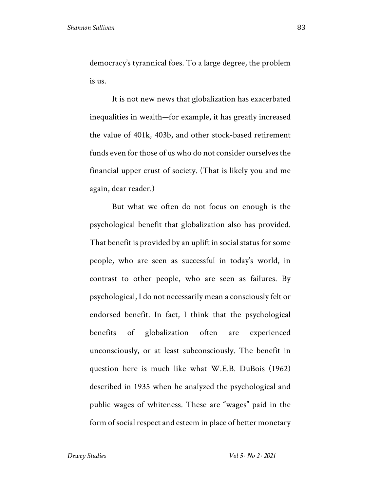democracy's tyrannical foes. To a large degree, the problem is us.

It is not new news that globalization has exacerbated inequalities in wealth—for example, it has greatly increased the value of 401k, 403b, and other stock-based retirement funds even for those of us who do not consider ourselves the financial upper crust of society. (That is likely you and me again, dear reader.)

But what we often do not focus on enough is the psychological benefit that globalization also has provided. That benefit is provided by an uplift in social status for some people, who are seen as successful in today's world, in contrast to other people, who are seen as failures. By psychological, I do not necessarily mean a consciously felt or endorsed benefit. In fact, I think that the psychological benefits of globalization often are experienced unconsciously, or at least subconsciously. The benefit in question here is much like what W.E.B. DuBois (1962) described in 1935 when he analyzed the psychological and public wages of whiteness. These are "wages" paid in the form of social respect and esteem in place of better monetary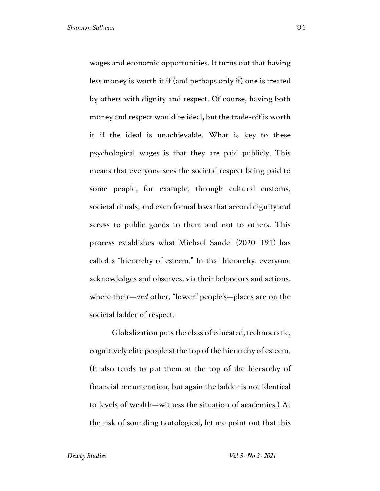wages and economic opportunities. It turns out that having less money is worth it if (and perhaps only if) one is treated by others with dignity and respect. Of course, having both money and respect would be ideal, but the trade-off is worth it if the ideal is unachievable. What is key to these psychological wages is that they are paid publicly. This means that everyone sees the societal respect being paid to some people, for example, through cultural customs, societal rituals, and even formal laws that accord dignity and access to public goods to them and not to others. This process establishes what Michael Sandel (2020: 191) has called a "hierarchy of esteem." In that hierarchy, everyone acknowledges and observes, via their behaviors and actions, where their—*and* other, "lower" people's—places are on the societal ladder of respect.

Globalization puts the class of educated, technocratic, cognitively elite people at the top of the hierarchy of esteem. (It also tends to put them at the top of the hierarchy of financial renumeration, but again the ladder is not identical to levels of wealth—witness the situation of academics.) At the risk of sounding tautological, let me point out that this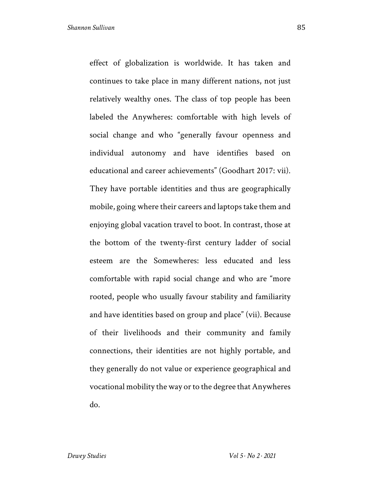effect of globalization is worldwide. It has taken and continues to take place in many different nations, not just relatively wealthy ones. The class of top people has been labeled the Anywheres: comfortable with high levels of social change and who "generally favour openness and individual autonomy and have identifies based on educational and career achievements" (Goodhart 2017: vii). They have portable identities and thus are geographically mobile, going where their careers and laptops take them and enjoying global vacation travel to boot. In contrast, those at the bottom of the twenty-first century ladder of social esteem are the Somewheres: less educated and less comfortable with rapid social change and who are "more rooted, people who usually favour stability and familiarity and have identities based on group and place" (vii). Because of their livelihoods and their community and family connections, their identities are not highly portable, and they generally do not value or experience geographical and vocational mobility the way or to the degree that Anywheres do.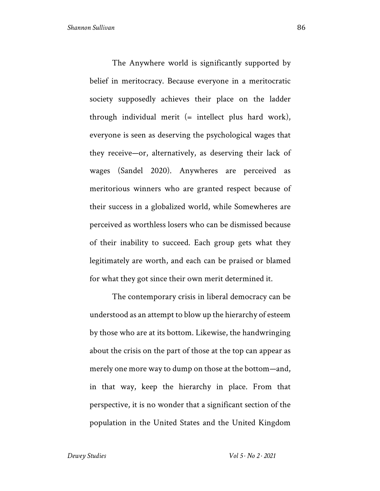The Anywhere world is significantly supported by belief in meritocracy. Because everyone in a meritocratic society supposedly achieves their place on the ladder through individual merit  $($ = intellect plus hard work), everyone is seen as deserving the psychological wages that they receive—or, alternatively, as deserving their lack of wages (Sandel 2020). Anywheres are perceived as meritorious winners who are granted respect because of their success in a globalized world, while Somewheres are perceived as worthless losers who can be dismissed because of their inability to succeed. Each group gets what they legitimately are worth, and each can be praised or blamed for what they got since their own merit determined it.

The contemporary crisis in liberal democracy can be understood as an attempt to blow up the hierarchy of esteem by those who are at its bottom. Likewise, the handwringing about the crisis on the part of those at the top can appear as merely one more way to dump on those at the bottom—and, in that way, keep the hierarchy in place. From that perspective, it is no wonder that a significant section of the population in the United States and the United Kingdom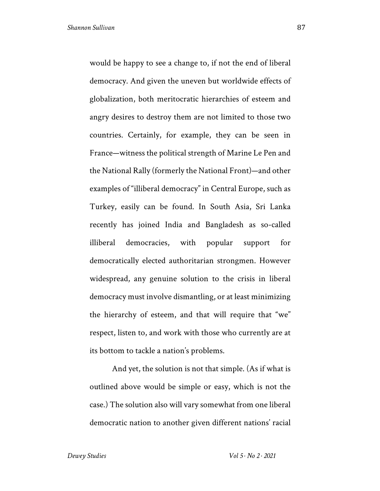would be happy to see a change to, if not the end of liberal democracy. And given the uneven but worldwide effects of globalization, both meritocratic hierarchies of esteem and angry desires to destroy them are not limited to those two countries. Certainly, for example, they can be seen in France—witness the political strength of Marine Le Pen and the National Rally (formerly the National Front)—and other examples of "illiberal democracy" in Central Europe, such as Turkey, easily can be found. In South Asia, Sri Lanka recently has joined India and Bangladesh as so-called illiberal democracies, with popular support for democratically elected authoritarian strongmen. However widespread, any genuine solution to the crisis in liberal democracy must involve dismantling, or at least minimizing the hierarchy of esteem, and that will require that "we" respect, listen to, and work with those who currently are at its bottom to tackle a nation's problems.

And yet, the solution is not that simple. (As if what is outlined above would be simple or easy, which is not the case.) The solution also will vary somewhat from one liberal democratic nation to another given different nations' racial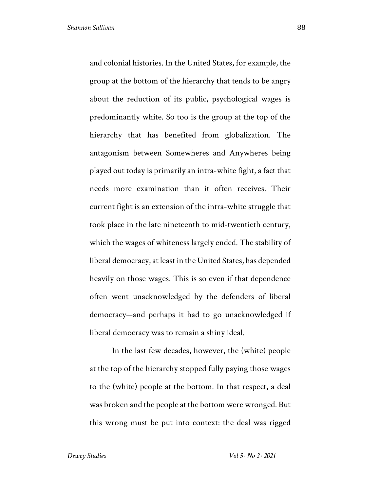and colonial histories. In the United States, for example, the group at the bottom of the hierarchy that tends to be angry about the reduction of its public, psychological wages is predominantly white. So too is the group at the top of the hierarchy that has benefited from globalization. The antagonism between Somewheres and Anywheres being played out today is primarily an intra-white fight, a fact that needs more examination than it often receives. Their current fight is an extension of the intra-white struggle that took place in the late nineteenth to mid-twentieth century, which the wages of whiteness largely ended. The stability of liberal democracy, at least in the United States, has depended heavily on those wages. This is so even if that dependence

often went unacknowledged by the defenders of liberal democracy—and perhaps it had to go unacknowledged if liberal democracy was to remain a shiny ideal.

In the last few decades, however, the (white) people at the top of the hierarchy stopped fully paying those wages to the (white) people at the bottom. In that respect, a deal was broken and the people at the bottom were wronged. But this wrong must be put into context: the deal was rigged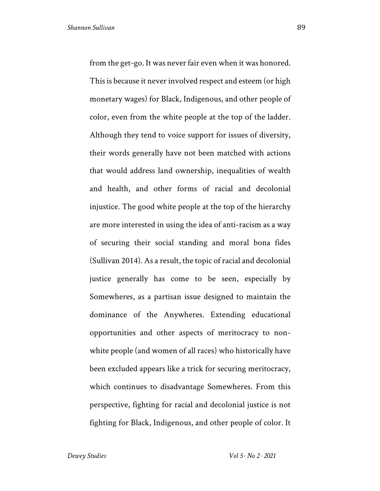from the get-go. It was never fair even when it was honored. This is because it never involved respect and esteem (or high monetary wages) for Black, Indigenous, and other people of color, even from the white people at the top of the ladder. Although they tend to voice support for issues of diversity, their words generally have not been matched with actions that would address land ownership, inequalities of wealth and health, and other forms of racial and decolonial injustice. The good white people at the top of the hierarchy are more interested in using the idea of anti-racism as a way of securing their social standing and moral bona fides (Sullivan 2014). As a result, the topic of racial and decolonial justice generally has come to be seen, especially by Somewheres, as a partisan issue designed to maintain the dominance of the Anywheres. Extending educational opportunities and other aspects of meritocracy to nonwhite people (and women of all races) who historically have been excluded appears like a trick for securing meritocracy, which continues to disadvantage Somewheres. From this perspective, fighting for racial and decolonial justice is not fighting for Black, Indigenous, and other people of color. It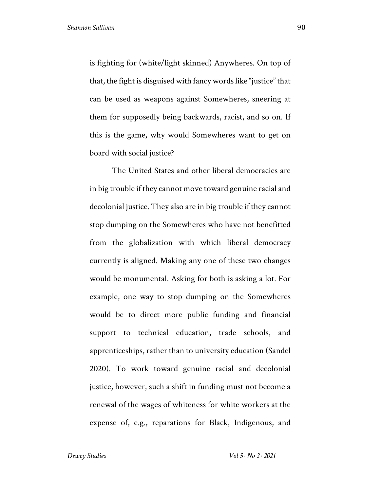is fighting for (white/light skinned) Anywheres. On top of that, the fight is disguised with fancy words like "justice" that can be used as weapons against Somewheres, sneering at them for supposedly being backwards, racist, and so on. If this is the game, why would Somewheres want to get on board with social justice?

The United States and other liberal democracies are in big trouble if they cannot move toward genuine racial and decolonial justice. They also are in big trouble if they cannot stop dumping on the Somewheres who have not benefitted from the globalization with which liberal democracy currently is aligned. Making any one of these two changes would be monumental. Asking for both is asking a lot. For example, one way to stop dumping on the Somewheres would be to direct more public funding and financial support to technical education, trade schools, and apprenticeships, rather than to university education (Sandel 2020). To work toward genuine racial and decolonial justice, however, such a shift in funding must not become a renewal of the wages of whiteness for white workers at the expense of, e.g., reparations for Black, Indigenous, and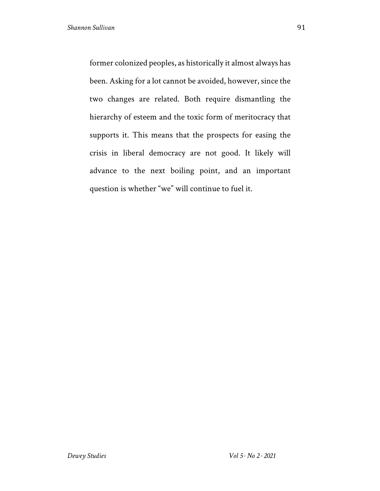former colonized peoples, as historically it almost always has been. Asking for a lot cannot be avoided, however, since the two changes are related. Both require dismantling the hierarchy of esteem and the toxic form of meritocracy that supports it. This means that the prospects for easing the crisis in liberal democracy are not good. It likely will advance to the next boiling point, and an important question is whether "we" will continue to fuel it.